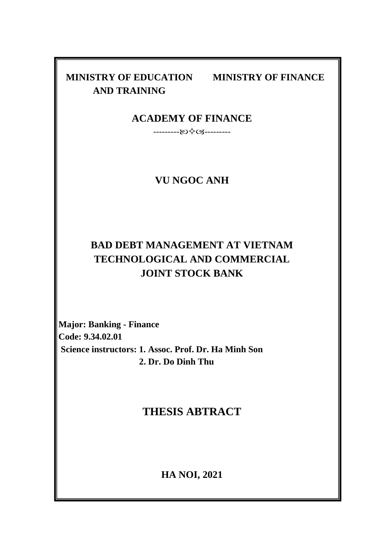# **AND TRAINING**

**MINISTRY OF EDUCATION MINISTRY OF FINANCE**

## **ACADEMY OF FINANCE**

------------------

## **VU NGOC ANH**

# **BAD DEBT MANAGEMENT AT VIETNAM TECHNOLOGICAL AND COMMERCIAL JOINT STOCK BANK**

**Major: Banking - Finance Code: 9.34.02.01 Science instructors: 1. Assoc. Prof. Dr. Ha Minh Son 2. Dr. Do Dinh Thu**

# **THESIS ABTRACT**

**HA NOI, 2021**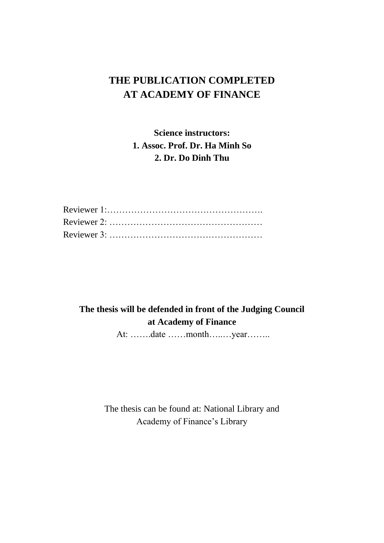# **THE PUBLICATION COMPLETED AT ACADEMY OF FINANCE**

**Science instructors: 1. Assoc. Prof. Dr. Ha Minh So 2. Dr. Do Dinh Thu**

# **The thesis will be defended in front of the Judging Council at Academy of Finance**

At: …….date ……month…..…year……..

The thesis can be found at: National Library and Academy of Finance's Library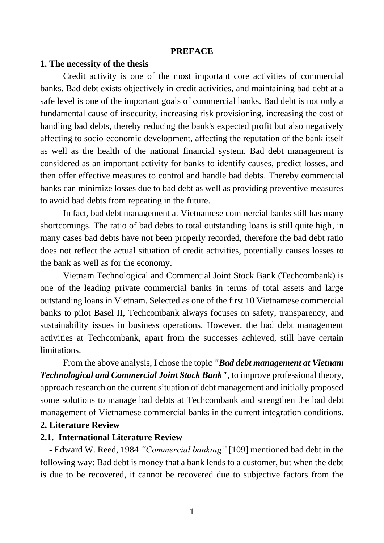#### **PREFACE**

#### **1. The necessity of the thesis**

Credit activity is one of the most important core activities of commercial banks. Bad debt exists objectively in credit activities, and maintaining bad debt at a safe level is one of the important goals of commercial banks. Bad debt is not only a fundamental cause of insecurity, increasing risk provisioning, increasing the cost of handling bad debts, thereby reducing the bank's expected profit but also negatively affecting to socio-economic development, affecting the reputation of the bank itself as well as the health of the national financial system. Bad debt management is considered as an important activity for banks to identify causes, predict losses, and then offer effective measures to control and handle bad debts. Thereby commercial banks can minimize losses due to bad debt as well as providing preventive measures to avoid bad debts from repeating in the future.

In fact, bad debt management at Vietnamese commercial banks still has many shortcomings. The ratio of bad debts to total outstanding loans is still quite high, in many cases bad debts have not been properly recorded, therefore the bad debt ratio does not reflect the actual situation of credit activities, potentially causes losses to the bank as well as for the economy.

Vietnam Technological and Commercial Joint Stock Bank (Techcombank) is one of the leading private commercial banks in terms of total assets and large outstanding loans in Vietnam. Selected as one of the first 10 Vietnamese commercial banks to pilot Basel II, Techcombank always focuses on safety, transparency, and sustainability issues in business operations. However, the bad debt management activities at Techcombank, apart from the successes achieved, still have certain limitations.

From the above analysis, I chose the topic *"Bad debt management at Vietnam Technological and Commercial Joint Stock Bank"*, to improve professional theory, approach research on the current situation of debt management and initially proposed some solutions to manage bad debts at Techcombank and strengthen the bad debt management of Vietnamese commercial banks in the current integration conditions.

#### **2. Literature Review**

#### **2.1. International Literature Review**

- Edward W. Reed, 1984 *"Commercial banking"* [109] mentioned bad debt in the following way: Bad debt is money that a bank lends to a customer, but when the debt is due to be recovered, it cannot be recovered due to subjective factors from the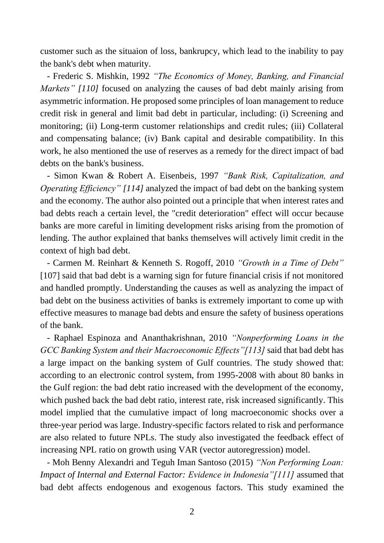customer such as the situaion of loss, bankrupcy, which lead to the inability to pay the bank's debt when maturity.

 - Frederic S. Mishkin, 1992 *"The Economics of Money, Banking, and Financial Markets" [110]* focused on analyzing the causes of bad debt mainly arising from asymmetric information. He proposed some principles of loan management to reduce credit risk in general and limit bad debt in particular, including: (i) Screening and monitoring; (ii) Long-term customer relationships and credit rules; (iii) Collateral and compensating balance; (iv) Bank capital and desirable compatibility. In this work, he also mentioned the use of reserves as a remedy for the direct impact of bad debts on the bank's business.

 - Simon Kwan & Robert A. Eisenbeis, 1997 *"Bank Risk, Capitalization, and Operating Efficiency" [114]* analyzed the impact of bad debt on the banking system and the economy. The author also pointed out a principle that when interest rates and bad debts reach a certain level, the "credit deterioration" effect will occur because banks are more careful in limiting development risks arising from the promotion of lending. The author explained that banks themselves will actively limit credit in the context of high bad debt.

 - Carmen M. Reinhart & Kenneth S. Rogoff, 2010 *"Growth in a Time of Debt"* [107] said that bad debt is a warning sign for future financial crisis if not monitored and handled promptly. Understanding the causes as well as analyzing the impact of bad debt on the business activities of banks is extremely important to come up with effective measures to manage bad debts and ensure the safety of business operations of the bank.

 - Raphael Espinoza and Ananthakrishnan, 2010 *"Nonperforming Loans in the GCC Banking System and their Macroeconomic Effects"[113]* said that bad debt has a large impact on the banking system of Gulf countries. The study showed that: according to an electronic control system, from 1995-2008 with about 80 banks in the Gulf region: the bad debt ratio increased with the development of the economy, which pushed back the bad debt ratio, interest rate, risk increased significantly. This model implied that the cumulative impact of long macroeconomic shocks over a three-year period was large. Industry-specific factors related to risk and performance are also related to future NPLs. The study also investigated the feedback effect of increasing NPL ratio on growth using VAR (vector autoregression) model.

 - Moh Benny Alexandri and Teguh Iman Santoso (2015) *"Non Performing Loan: Impact of Internal and External Factor: Evidence in Indonesia"[111]* assumed that bad debt affects endogenous and exogenous factors. This study examined the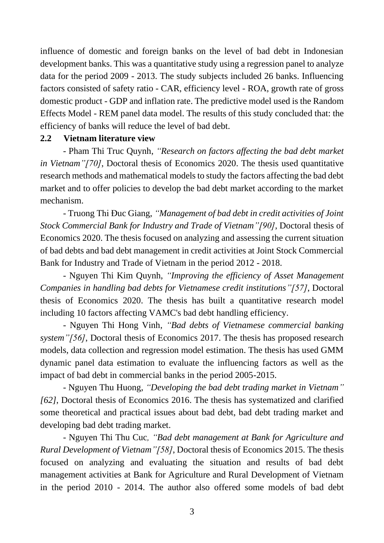influence of domestic and foreign banks on the level of bad debt in Indonesian development banks. This was a quantitative study using a regression panel to analyze data for the period 2009 - 2013. The study subjects included 26 banks. Influencing factors consisted of safety ratio - CAR, efficiency level - ROA, growth rate of gross domestic product - GDP and inflation rate. The predictive model used is the Random Effects Model - REM panel data model. The results of this study concluded that: the efficiency of banks will reduce the level of bad debt.

#### **2.2 Vietnam literature view**

- Pham Thi Truc Quynh, *"Research on factors affecting the bad debt market in Vietnam"[70]*, Doctoral thesis of Economics 2020. The thesis used quantitative research methods and mathematical models to study the factors affecting the bad debt market and to offer policies to develop the bad debt market according to the market mechanism.

- Truong Thi Đuc Giang, *"Management of bad debt in credit activities of Joint Stock Commercial Bank for Industry and Trade of Vietnam"[90]*, Doctoral thesis of Economics 2020. The thesis focused on analyzing and assessing the current situation of bad debts and bad debt management in credit activities at Joint Stock Commercial Bank for Industry and Trade of Vietnam in the period 2012 - 2018.

- Nguyen Thi Kim Quynh, *"Improving the efficiency of Asset Management Companies in handling bad debts for Vietnamese credit institutions"[57]*, Doctoral thesis of Economics 2020. The thesis has built a quantitative research model including 10 factors affecting VAMC's bad debt handling efficiency.

- Nguyen Thi Hong Vinh, *"Bad debts of Vietnamese commercial banking system"[56]*, Doctoral thesis of Economics 2017. The thesis has proposed research models, data collection and regression model estimation. The thesis has used GMM dynamic panel data estimation to evaluate the influencing factors as well as the impact of bad debt in commercial banks in the period 2005-2015.

- Nguyen Thu Huong, *"Developing the bad debt trading market in Vietnam" [62]*, Doctoral thesis of Economics 2016. The thesis has systematized and clarified some theoretical and practical issues about bad debt, bad debt trading market and developing bad debt trading market.

- Nguyen Thi Thu Cuc*, "Bad debt management at Bank for Agriculture and Rural Development of Vietnam"[58]*, Doctoral thesis of Economics 2015. The thesis focused on analyzing and evaluating the situation and results of bad debt management activities at Bank for Agriculture and Rural Development of Vietnam in the period 2010 - 2014. The author also offered some models of bad debt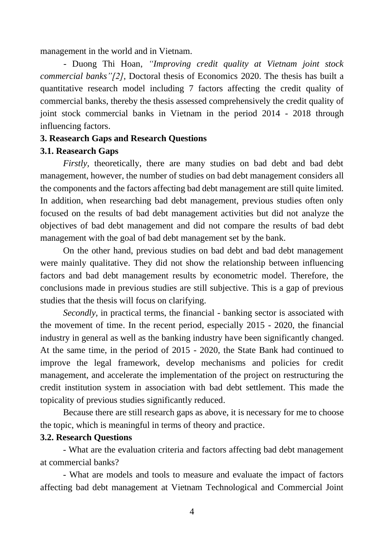management in the world and in Vietnam.

 - Duong Thi Hoan, *"Improving credit quality at Vietnam joint stock commercial banks"[2]*, Doctoral thesis of Economics 2020. The thesis has built a quantitative research model including 7 factors affecting the credit quality of commercial banks, thereby the thesis assessed comprehensively the credit quality of joint stock commercial banks in Vietnam in the period 2014 - 2018 through influencing factors.

#### **3. Reasearch Gaps and Research Questions**

#### **3.1. Reasearch Gaps**

*Firstly,* theoretically, there are many studies on bad debt and bad debt management, however, the number of studies on bad debt management considers all the components and the factors affecting bad debt management are still quite limited. In addition, when researching bad debt management, previous studies often only focused on the results of bad debt management activities but did not analyze the objectives of bad debt management and did not compare the results of bad debt management with the goal of bad debt management set by the bank.

On the other hand, previous studies on bad debt and bad debt management were mainly qualitative. They did not show the relationship between influencing factors and bad debt management results by econometric model. Therefore, the conclusions made in previous studies are still subjective. This is a gap of previous studies that the thesis will focus on clarifying.

*Secondly,* in practical terms, the financial - banking sector is associated with the movement of time. In the recent period, especially 2015 - 2020, the financial industry in general as well as the banking industry have been significantly changed. At the same time, in the period of 2015 - 2020, the State Bank had continued to improve the legal framework, develop mechanisms and policies for credit management, and accelerate the implementation of the project on restructuring the credit institution system in association with bad debt settlement. This made the topicality of previous studies significantly reduced.

Because there are still research gaps as above, it is necessary for me to choose the topic, which is meaningful in terms of theory and practice.

#### **3.2. Research Questions**

- What are the evaluation criteria and factors affecting bad debt management at commercial banks?

- What are models and tools to measure and evaluate the impact of factors affecting bad debt management at Vietnam Technological and Commercial Joint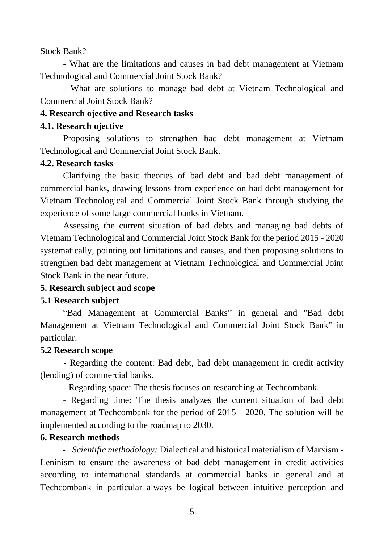Stock Bank?

- What are the limitations and causes in bad debt management at Vietnam Technological and Commercial Joint Stock Bank?

- What are solutions to manage bad debt at Vietnam Technological and Commercial Joint Stock Bank?

#### **4. Research ojective and Research tasks**

#### **4.1. Research ojective**

Proposing solutions to strengthen bad debt management at Vietnam Technological and Commercial Joint Stock Bank.

#### **4.2. Research tasks**

Clarifying the basic theories of bad debt and bad debt management of commercial banks, drawing lessons from experience on bad debt management for Vietnam Technological and Commercial Joint Stock Bank through studying the experience of some large commercial banks in Vietnam.

Assessing the current situation of bad debts and managing bad debts of Vietnam Technological and Commercial Joint Stock Bank for the period 2015 - 2020 systematically, pointing out limitations and causes, and then proposing solutions to strengthen bad debt management at Vietnam Technological and Commercial Joint Stock Bank in the near future.

#### **5. Research subject and scope**

#### **5.1 Research subject**

"Bad Management at Commercial Banks" in general and "Bad debt Management at Vietnam Technological and Commercial Joint Stock Bank" in particular.

#### **5.2 Research scope**

- Regarding the content: Bad debt, bad debt management in credit activity (lending) of commercial banks.

- Regarding space: The thesis focuses on researching at Techcombank.

- Regarding time: The thesis analyzes the current situation of bad debt management at Techcombank for the period of 2015 - 2020. The solution will be implemented according to the roadmap to 2030.

#### **6. Research methods**

"- *Scientific methodology:* Dialectical and historical materialism of Marxism - Leninism to ensure the awareness of bad debt management in credit activities according to international standards at commercial banks in general and at Techcombank in particular always be logical between intuitive perception and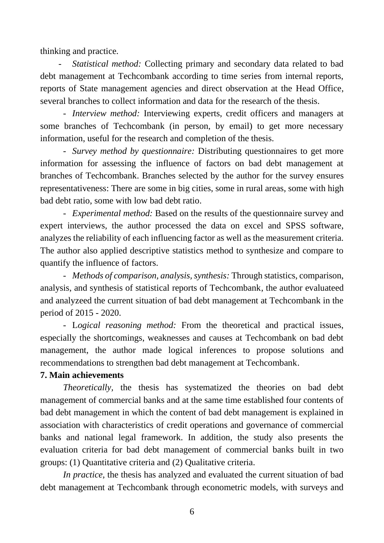thinking and practice*.* 

- *Statistical method:* Collecting primary and secondary data related to bad debt management at Techcombank according to time series from internal reports, reports of State management agencies and direct observation at the Head Office, several branches to collect information and data for the research of the thesis.

- *Interview method:* Interviewing experts, credit officers and managers at some branches of Techcombank (in person, by email) to get more necessary information, useful for the research and completion of the thesis.

- *Survey method by questionnaire:* Distributing questionnaires to get more information for assessing the influence of factors on bad debt management at branches of Techcombank. Branches selected by the author for the survey ensures representativeness: There are some in big cities, some in rural areas, some with high bad debt ratio, some with low bad debt ratio.

- *Experimental method:* Based on the results of the questionnaire survey and expert interviews, the author processed the data on excel and SPSS software, analyzes the reliability of each influencing factor as well as the measurement criteria. The author also applied descriptive statistics method to synthesize and compare to quantify the influence of factors.

- *Methods of comparison, analysis, synthesis:* Through statistics, comparison, analysis, and synthesis of statistical reports of Techcombank, the author evaluateed and analyzeed the current situation of bad debt management at Techcombank in the period of 2015 - 2020.

- L*ogical reasoning method:* From the theoretical and practical issues, especially the shortcomings, weaknesses and causes at Techcombank on bad debt management, the author made logical inferences to propose solutions and recommendations to strengthen bad debt management at Techcombank.

#### **7. Main achievements**

*Theoretically,* the thesis has systematized the theories on bad debt management of commercial banks and at the same time established four contents of bad debt management in which the content of bad debt management is explained in association with characteristics of credit operations and governance of commercial banks and national legal framework. In addition, the study also presents the evaluation criteria for bad debt management of commercial banks built in two groups: (1) Quantitative criteria and (2) Qualitative criteria.

*In practice,* the thesis has analyzed and evaluated the current situation of bad debt management at Techcombank through econometric models, with surveys and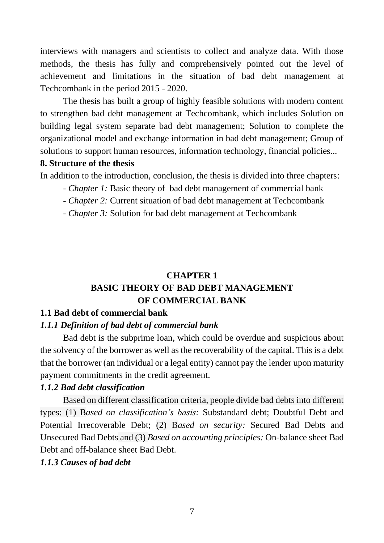interviews with managers and scientists to collect and analyze data. With those methods, the thesis has fully and comprehensively pointed out the level of achievement and limitations in the situation of bad debt management at Techcombank in the period 2015 - 2020.

The thesis has built a group of highly feasible solutions with modern content to strengthen bad debt management at Techcombank, which includes Solution on building legal system separate bad debt management; Solution to complete the organizational model and exchange information in bad debt management; Group of solutions to support human resources, information technology, financial policies...

#### **8. Structure of the thesis**

In addition to the introduction, conclusion, the thesis is divided into three chapters:

- *- Chapter 1:* Basic theory of bad debt management of commercial bank
- *- Chapter 2:* Current situation of bad debt management at Techcombank
- *- Chapter 3:* Solution for bad debt management at Techcombank

## **CHAPTER 1 BASIC THEORY OF BAD DEBT MANAGEMENT OF COMMERCIAL BANK**

## **1.1 Bad debt of commercial bank**

## *1.1.1 Definition of bad debt of commercial bank*

Bad debt is the subprime loan, which could be overdue and suspicious about the solvency of the borrower as well as the recoverability of the capital. This is a debt that the borrower (an individual or a legal entity) cannot pay the lender upon maturity payment commitments in the credit agreement.

## *1.1.2 Bad debt classification*

Based on different classification criteria, people divide bad debts into different types: (1) B*ased on classification's basis:* Substandard debt; Doubtful Debt and Potential Irrecoverable Debt; (2) B*ased on security:* Secured Bad Debts and Unsecured Bad Debts and (3) *Based on accounting principles:* On-balance sheet Bad Debt and off-balance sheet Bad Debt.

*1.1.3 Causes of bad debt*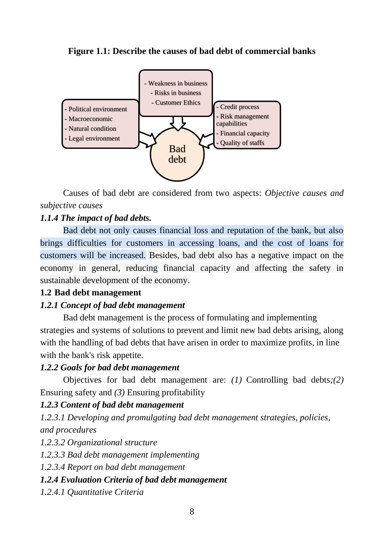**Figure 1.1: Describe the causes of bad debt of commercial banks**



Causes of bad debt are considered from two aspects: *Objective causes and subjective causes*

## *1.1.4 The impact of bad debts.*

Bad debt not only causes financial loss and reputation of the bank, but also brings difficulties for customers in accessing loans, and the cost of loans for customers will be increased. Besides, bad debt also has a negative impact on the economy in general, reducing financial capacity and affecting the safety in sustainable development of the economy.

## **1.2 Bad debt management**

## *1.2.1 Concept of bad debt management*

Bad debt management is the process of formulating and implementing strategies and systems of solutions to prevent and limit new bad debts arising, along with the handling of bad debts that have arisen in order to maximize profits, in line with the bank's risk appetite.

## *1.2.2 Goals for bad debt management*

Objectives for bad debt management are: *(1)* Controlling bad debts*;(2)* Ensuring safety and *(3)* Ensuring profitability

## *1.2.3 Content of bad debt management*

*1.2.3.1 Developing and promulgating bad debt management strategies, policies, and procedures*

*1.2.3.2 Organizational structure* 

*1.2.3.3 Bad debt management implementing*

*1.2.3.4 Report on bad debt management*

## *1.2.4 Evaluation Criteria of bad debt management*

*1.2.4.1 Quantitative Criteria*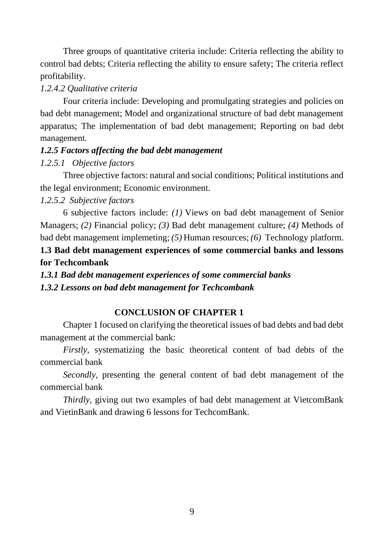Three groups of quantitative criteria include: Criteria reflecting the ability to control bad debts; Criteria reflecting the ability to ensure safety; The criteria reflect profitability.

## *1.2.4.2 Qualitative criteria*

Four criteria include: Developing and promulgating strategies and policies on bad debt management; Model and organizational structure of bad debt management apparatus; The implementation of bad debt management; Reporting on bad debt management.

## *1.2.5 Factors affecting the bad debt management*

## *1.2.5.1 Objective factors*

Three objective factors: natural and social conditions; Political institutions and the legal environment; Economic environment.

## *1.2.5.2 Subjective factors*

6 subjective factors include: *(1)* Views on bad debt management of Senior Managers; *(2)* Financial policy; *(3)* Bad debt management culture; *(4)* Methods of bad debt management implemeting; *(5)* Human resources; *(6)* Technology platform.

## **1.3 Bad debt management experiences of some commercial banks and lessons for Techcombank**

*1.3.1 Bad debt management experiences of some commercial banks 1.3.2 Lessons on bad debt management for Techcombank*

## **CONCLUSION OF CHAPTER 1**

Chapter 1 focused on clarifying the theoretical issues of bad debts and bad debt management at the commercial bank:

*Firstly,* systematizing the basic theoretical content of bad debts of the commercial bank

*Secondly,* presenting the general content of bad debt management of the commercial bank

*Thirdly,* giving out two examples of bad debt management at VietcomBank and VietinBank and drawing 6 lessons for TechcomBank.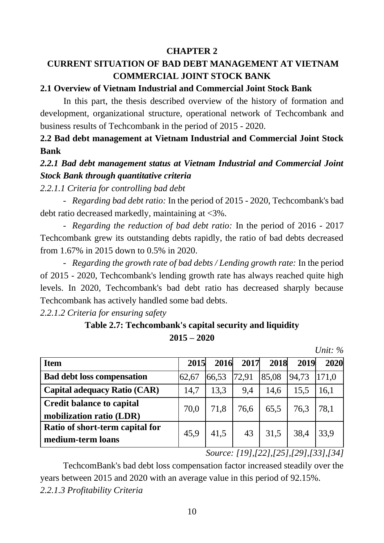## **CHAPTER 2**

# **CURRENT SITUATION OF BAD DEBT MANAGEMENT AT VIETNAM COMMERCIAL JOINT STOCK BANK**

## **2.1 Overview of Vietnam Industrial and Commercial Joint Stock Bank**

In this part, the thesis described overview of the history of formation and development, organizational structure, operational network of Techcombank and business results of Techcombank in the period of 2015 - 2020.

## **2.2 Bad debt management at Vietnam Industrial and Commercial Joint Stock Bank**

## *2.2.1 Bad debt management status at Vietnam Industrial and Commercial Joint Stock Bank through quantitative criteria*

*2.2.1.1 Criteria for controlling bad debt*

- *Regarding bad debt ratio:* In the period of 2015 - 2020, Techcombank's bad debt ratio decreased markedly, maintaining at <3%.

- *Regarding the reduction of bad debt ratio:* In the period of 2016 - 2017 Techcombank grew its outstanding debts rapidly, the ratio of bad debts decreased from 1.67% in 2015 down to 0.5% in 2020.

- *Regarding the growth rate of bad debts / Lending growth rate:* In the period of 2015 - 2020, Techcombank's lending growth rate has always reached quite high levels. In 2020, Techcombank's bad debt ratio has decreased sharply because Techcombank has actively handled some bad debts.

*2.2.1.2 Criteria for ensuring safety*

## **Table 2.7: Techcombank's capital security and liquidity 2015 – 2020**

*Unit: %*

| <b>Item</b>                         | 2015  | 2016  | 2017  | 2018  | 2019  | 2020  |
|-------------------------------------|-------|-------|-------|-------|-------|-------|
| <b>Bad debt loss compensation</b>   | 62,67 | 66,53 | 72,91 | 85,08 | 94,73 | 171,0 |
| <b>Capital adequacy Ratio (CAR)</b> | 14,7  | 13,3  | 9,4   | 14,6  | 15,5  | 16,1  |
| <b>Credit balance to capital</b>    | 70,0  | 71,8  | 76,6  | 65,5  | 76,3  | 78,1  |
| mobilization ratio (LDR)            |       |       |       |       |       |       |
| Ratio of short-term capital for     | 45,9  | 41,5  | 43    | 31,5  | 38,4  | 33,9  |
| medium-term loans                   |       |       |       |       |       |       |

*Source: [19],[22],[25],[29],[33],[34]*

TechcomBank's bad debt loss compensation factor increased steadily over the years between 2015 and 2020 with an average value in this period of 92.15%. *2.2.1.3 Profitability Criteria*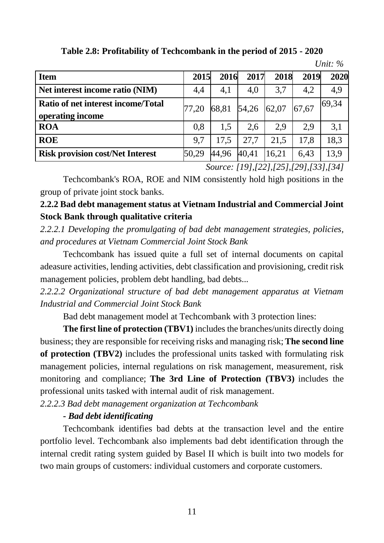| <b>Item</b>                                            | 2015  | 2016  | 2017  | 2018  | 2019  | 2020  |
|--------------------------------------------------------|-------|-------|-------|-------|-------|-------|
| Net interest income ratio (NIM)                        | 4,4   | 4,1   | 4,0   | 3,7   | 4,2   | 4,9   |
| Ratio of net interest income/Total<br>operating income | 77.20 | 68,81 | 54,26 | 62,07 | 67,67 | 69,34 |
| <b>ROA</b>                                             | 0.8   | 1.5   | 2.6   | 2.9   | 2.9   | 3,1   |
| <b>ROE</b>                                             | 9.7   | 17.5  | 27,7  | 21,5  | 17.8  | 18,3  |
| <b>Risk provision cost/Net Interest</b>                | 50,29 | 44,96 | 40,41 | 16,21 | 6.43  | 13,9  |

**Table 2.8: Profitability of Techcombank in the period of 2015 - 2020**

*Source: [19],[22],[25],[29],[33],[34]*

*Unit: %*

Techcombank's ROA, ROE and NIM consistently hold high positions in the group of private joint stock banks.

**2.2.2 Bad debt management status at Vietnam Industrial and Commercial Joint Stock Bank through qualitative criteria**

*2.2.2.1 Developing the promulgating of bad debt management strategies, policies, and procedures at Vietnam Commercial Joint Stock Bank*

Techcombank has issued quite a full set of internal documents on capital adeasure activities, lending activities, debt classification and provisioning, credit risk management policies, problem debt handling, bad debts...

*2.2.2.2 Organizational structure of bad debt management apparatus at Vietnam Industrial and Commercial Joint Stock Bank*

Bad debt management model at Techcombank with 3 protection lines:

**The first line of protection (TBV1)** includes the branches/units directly doing business; they are responsible for receiving risks and managing risk;**The second line of protection (TBV2)** includes the professional units tasked with formulating risk management policies, internal regulations on risk management, measurement, risk monitoring and compliance; **The 3rd Line of Protection (TBV3)** includes the professional units tasked with internal audit of risk management.

*2.2.2.3 Bad debt management organization at Techcombank*

## *- Bad debt identificating*

Techcombank identifies bad debts at the transaction level and the entire portfolio level. Techcombank also implements bad debt identification through the internal credit rating system guided by Basel II which is built into two models for two main groups of customers: individual customers and corporate customers.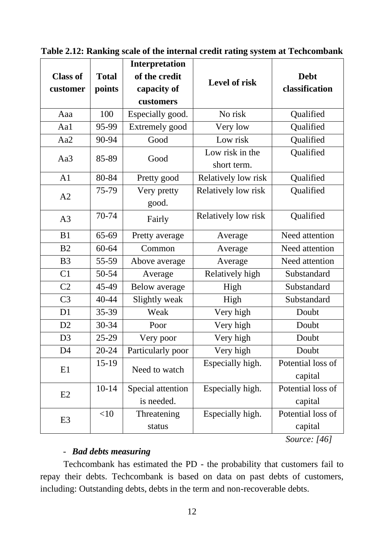| <b>Total</b><br><b>Class of</b><br>of the credit<br><b>Debt</b><br><b>Level of risk</b><br>classification<br>points<br>capacity of<br>customer<br>customers<br>Especially good.<br>No risk<br>100<br>Qualified<br>Aaa<br>Aa1<br>95-99<br>Extremely good<br>Very low<br>Qualified<br>Aa2<br>90-94<br>Low risk<br>Qualified<br>Good<br>Low risk in the<br>Qualified<br>85-89<br>Aa3<br>Good<br>short term.<br>A1<br>80-84<br>Relatively low risk<br>Qualified<br>Pretty good<br>75-79<br>Relatively low risk<br>Qualified<br>Very pretty<br>A2<br>good.<br>70-74<br>Relatively low risk<br>Qualified<br>A3<br>Fairly<br>65-69<br>B1<br>Need attention<br>Pretty average<br>Average<br>B <sub>2</sub><br>60-64<br>Need attention<br>Common<br>Average<br>B <sub>3</sub><br>55-59<br>Need attention<br>Above average<br>Average<br>C1<br>50-54<br>Relatively high<br>Substandard<br>Average<br>C2<br>45-49<br><b>Below</b> average<br>Substandard<br>High<br>C <sub>3</sub><br>40-44<br>Slightly weak<br>Substandard<br>High<br>35-39<br>D <sub>1</sub><br>Weak<br>Very high<br>Doubt<br>D2<br>30-34<br>Very high<br>Doubt<br>Poor<br>Very high<br>$25 - 29$<br>D <sub>3</sub><br>Doubt<br>Very poor<br>D <sub>4</sub><br>20-24<br>Particularly poor<br>Very high<br>Doubt<br>15-19<br>Potential loss of<br>Especially high.<br>E1<br>Need to watch<br>capital<br>$10-14$<br>Especially high.<br>Potential loss of<br>Special attention<br>E2<br>is needed.<br>capital<br><10<br>Potential loss of<br>Especially high.<br>Threatening<br>E <sub>3</sub><br>capital<br>status |  | <b>Interpretation</b> |  |  |
|--------------------------------------------------------------------------------------------------------------------------------------------------------------------------------------------------------------------------------------------------------------------------------------------------------------------------------------------------------------------------------------------------------------------------------------------------------------------------------------------------------------------------------------------------------------------------------------------------------------------------------------------------------------------------------------------------------------------------------------------------------------------------------------------------------------------------------------------------------------------------------------------------------------------------------------------------------------------------------------------------------------------------------------------------------------------------------------------------------------------------------------------------------------------------------------------------------------------------------------------------------------------------------------------------------------------------------------------------------------------------------------------------------------------------------------------------------------------------------------------------------------------------------------------------------------------------|--|-----------------------|--|--|
|                                                                                                                                                                                                                                                                                                                                                                                                                                                                                                                                                                                                                                                                                                                                                                                                                                                                                                                                                                                                                                                                                                                                                                                                                                                                                                                                                                                                                                                                                                                                                                          |  |                       |  |  |
|                                                                                                                                                                                                                                                                                                                                                                                                                                                                                                                                                                                                                                                                                                                                                                                                                                                                                                                                                                                                                                                                                                                                                                                                                                                                                                                                                                                                                                                                                                                                                                          |  |                       |  |  |
|                                                                                                                                                                                                                                                                                                                                                                                                                                                                                                                                                                                                                                                                                                                                                                                                                                                                                                                                                                                                                                                                                                                                                                                                                                                                                                                                                                                                                                                                                                                                                                          |  |                       |  |  |
|                                                                                                                                                                                                                                                                                                                                                                                                                                                                                                                                                                                                                                                                                                                                                                                                                                                                                                                                                                                                                                                                                                                                                                                                                                                                                                                                                                                                                                                                                                                                                                          |  |                       |  |  |
|                                                                                                                                                                                                                                                                                                                                                                                                                                                                                                                                                                                                                                                                                                                                                                                                                                                                                                                                                                                                                                                                                                                                                                                                                                                                                                                                                                                                                                                                                                                                                                          |  |                       |  |  |
|                                                                                                                                                                                                                                                                                                                                                                                                                                                                                                                                                                                                                                                                                                                                                                                                                                                                                                                                                                                                                                                                                                                                                                                                                                                                                                                                                                                                                                                                                                                                                                          |  |                       |  |  |
|                                                                                                                                                                                                                                                                                                                                                                                                                                                                                                                                                                                                                                                                                                                                                                                                                                                                                                                                                                                                                                                                                                                                                                                                                                                                                                                                                                                                                                                                                                                                                                          |  |                       |  |  |
|                                                                                                                                                                                                                                                                                                                                                                                                                                                                                                                                                                                                                                                                                                                                                                                                                                                                                                                                                                                                                                                                                                                                                                                                                                                                                                                                                                                                                                                                                                                                                                          |  |                       |  |  |
|                                                                                                                                                                                                                                                                                                                                                                                                                                                                                                                                                                                                                                                                                                                                                                                                                                                                                                                                                                                                                                                                                                                                                                                                                                                                                                                                                                                                                                                                                                                                                                          |  |                       |  |  |
|                                                                                                                                                                                                                                                                                                                                                                                                                                                                                                                                                                                                                                                                                                                                                                                                                                                                                                                                                                                                                                                                                                                                                                                                                                                                                                                                                                                                                                                                                                                                                                          |  |                       |  |  |
|                                                                                                                                                                                                                                                                                                                                                                                                                                                                                                                                                                                                                                                                                                                                                                                                                                                                                                                                                                                                                                                                                                                                                                                                                                                                                                                                                                                                                                                                                                                                                                          |  |                       |  |  |
|                                                                                                                                                                                                                                                                                                                                                                                                                                                                                                                                                                                                                                                                                                                                                                                                                                                                                                                                                                                                                                                                                                                                                                                                                                                                                                                                                                                                                                                                                                                                                                          |  |                       |  |  |
|                                                                                                                                                                                                                                                                                                                                                                                                                                                                                                                                                                                                                                                                                                                                                                                                                                                                                                                                                                                                                                                                                                                                                                                                                                                                                                                                                                                                                                                                                                                                                                          |  |                       |  |  |
|                                                                                                                                                                                                                                                                                                                                                                                                                                                                                                                                                                                                                                                                                                                                                                                                                                                                                                                                                                                                                                                                                                                                                                                                                                                                                                                                                                                                                                                                                                                                                                          |  |                       |  |  |
|                                                                                                                                                                                                                                                                                                                                                                                                                                                                                                                                                                                                                                                                                                                                                                                                                                                                                                                                                                                                                                                                                                                                                                                                                                                                                                                                                                                                                                                                                                                                                                          |  |                       |  |  |
|                                                                                                                                                                                                                                                                                                                                                                                                                                                                                                                                                                                                                                                                                                                                                                                                                                                                                                                                                                                                                                                                                                                                                                                                                                                                                                                                                                                                                                                                                                                                                                          |  |                       |  |  |
|                                                                                                                                                                                                                                                                                                                                                                                                                                                                                                                                                                                                                                                                                                                                                                                                                                                                                                                                                                                                                                                                                                                                                                                                                                                                                                                                                                                                                                                                                                                                                                          |  |                       |  |  |
|                                                                                                                                                                                                                                                                                                                                                                                                                                                                                                                                                                                                                                                                                                                                                                                                                                                                                                                                                                                                                                                                                                                                                                                                                                                                                                                                                                                                                                                                                                                                                                          |  |                       |  |  |
|                                                                                                                                                                                                                                                                                                                                                                                                                                                                                                                                                                                                                                                                                                                                                                                                                                                                                                                                                                                                                                                                                                                                                                                                                                                                                                                                                                                                                                                                                                                                                                          |  |                       |  |  |
|                                                                                                                                                                                                                                                                                                                                                                                                                                                                                                                                                                                                                                                                                                                                                                                                                                                                                                                                                                                                                                                                                                                                                                                                                                                                                                                                                                                                                                                                                                                                                                          |  |                       |  |  |
|                                                                                                                                                                                                                                                                                                                                                                                                                                                                                                                                                                                                                                                                                                                                                                                                                                                                                                                                                                                                                                                                                                                                                                                                                                                                                                                                                                                                                                                                                                                                                                          |  |                       |  |  |
|                                                                                                                                                                                                                                                                                                                                                                                                                                                                                                                                                                                                                                                                                                                                                                                                                                                                                                                                                                                                                                                                                                                                                                                                                                                                                                                                                                                                                                                                                                                                                                          |  |                       |  |  |
|                                                                                                                                                                                                                                                                                                                                                                                                                                                                                                                                                                                                                                                                                                                                                                                                                                                                                                                                                                                                                                                                                                                                                                                                                                                                                                                                                                                                                                                                                                                                                                          |  |                       |  |  |
|                                                                                                                                                                                                                                                                                                                                                                                                                                                                                                                                                                                                                                                                                                                                                                                                                                                                                                                                                                                                                                                                                                                                                                                                                                                                                                                                                                                                                                                                                                                                                                          |  |                       |  |  |
|                                                                                                                                                                                                                                                                                                                                                                                                                                                                                                                                                                                                                                                                                                                                                                                                                                                                                                                                                                                                                                                                                                                                                                                                                                                                                                                                                                                                                                                                                                                                                                          |  |                       |  |  |
|                                                                                                                                                                                                                                                                                                                                                                                                                                                                                                                                                                                                                                                                                                                                                                                                                                                                                                                                                                                                                                                                                                                                                                                                                                                                                                                                                                                                                                                                                                                                                                          |  |                       |  |  |
|                                                                                                                                                                                                                                                                                                                                                                                                                                                                                                                                                                                                                                                                                                                                                                                                                                                                                                                                                                                                                                                                                                                                                                                                                                                                                                                                                                                                                                                                                                                                                                          |  |                       |  |  |
|                                                                                                                                                                                                                                                                                                                                                                                                                                                                                                                                                                                                                                                                                                                                                                                                                                                                                                                                                                                                                                                                                                                                                                                                                                                                                                                                                                                                                                                                                                                                                                          |  |                       |  |  |

**Table 2.12: Ranking scale of the internal credit rating system at Techcombank**

*Source: [46]*

#### - *Bad debts measuring*

Techcombank has estimated the PD - the probability that customers fail to repay their debts. Techcombank is based on data on past debts of customers, including: Outstanding debts, debts in the term and non-recoverable debts.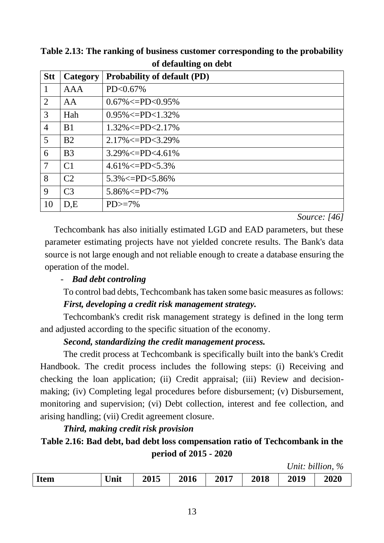| <b>Stt</b>     | Category       | <b>Probability of default (PD)</b> |
|----------------|----------------|------------------------------------|
| $\mathbf 1$    | <b>AAA</b>     | PD<0.67%                           |
| 2              | AA             | $0.67\% < = PD < 0.95\%$           |
| 3              | Hah            | $0.95\% < = PD < 1.32\%$           |
| $\overline{4}$ | B <sub>1</sub> | $1.32\% < = PD < 2.17\%$           |
| 5              | B <sub>2</sub> | $2.17\% < = PD < 3.29\%$           |
| 6              | B <sub>3</sub> | $3.29\% < = PD < 4.61\%$           |
| $\overline{7}$ | C <sub>1</sub> | $4.61\% < = PD < 5.3\%$            |
| 8              | C <sub>2</sub> | $5.3\% < = PD < 5.86\%$            |
| 9              | C <sub>3</sub> | $5.86\% < = PD < 7\%$              |
| 10             | D.E            | $PD$ $>=$ 7%                       |

**Table 2.13: The ranking of business customer corresponding to the probability of defaulting on debt**

*Source: [46]*

Techcombank has also initially estimated LGD and EAD parameters, but these parameter estimating projects have not yielded concrete results. The Bank's data source is not large enough and not reliable enough to create a database ensuring the operation of the model.

## - *Bad debt controling*

To control bad debts, Techcombank has taken some basic measures as follows: *First, developing a credit risk management strategy.*

Techcombank's credit risk management strategy is defined in the long term and adjusted according to the specific situation of the economy.

## *Second, standardizing the credit management process.*

The credit process at Techcombank is specifically built into the bank's Credit Handbook. The credit process includes the following steps: (i) Receiving and checking the loan application; (ii) Credit appraisal; (iii) Review and decisionmaking; (iv) Completing legal procedures before disbursement; (v) Disbursement, monitoring and supervision; (vi) Debt collection, interest and fee collection, and arising handling; (vii) Credit agreement closure.

## *Third, making credit risk provision*

# **Table 2.16: Bad debt, bad debt loss compensation ratio of Techcombank in the period of 2015 - 2020**

*Unit: billion, %*

| <b>Item</b> | Unit | 2015 | 2016 | 2017 | 2018 | 2019 | 2020 |
|-------------|------|------|------|------|------|------|------|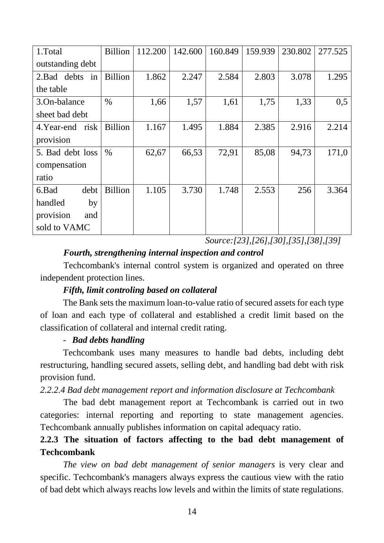| 1.Total            | <b>Billion</b> | 112.200 | 142.600 | 160.849 | 159.939 | 230.802 | 277.525 |
|--------------------|----------------|---------|---------|---------|---------|---------|---------|
| outstanding debt   |                |         |         |         |         |         |         |
| 2. Bad debts<br>in | <b>Billion</b> | 1.862   | 2.247   | 2.584   | 2.803   | 3.078   | 1.295   |
| the table          |                |         |         |         |         |         |         |
| 3.On-balance       | $\%$           | 1,66    | 1,57    | 1,61    | 1,75    | 1,33    | 0,5     |
| sheet bad debt     |                |         |         |         |         |         |         |
| 4. Year-end risk   | <b>Billion</b> | 1.167   | 1.495   | 1.884   | 2.385   | 2.916   | 2.214   |
| provision          |                |         |         |         |         |         |         |
| 5. Bad debt loss   | $\%$           | 62,67   | 66,53   | 72,91   | 85,08   | 94,73   | 171,0   |
| compensation       |                |         |         |         |         |         |         |
| ratio              |                |         |         |         |         |         |         |
| 6.Bad<br>debt      | <b>Billion</b> | 1.105   | 3.730   | 1.748   | 2.553   | 256     | 3.364   |
| handled<br>by      |                |         |         |         |         |         |         |
| provision<br>and   |                |         |         |         |         |         |         |
| sold to VAMC       |                |         |         |         |         |         |         |

*Source:[23],[26],[30],[35],[38],[39]*

## *Fourth, strengthening internal inspection and control*

Techcombank's internal control system is organized and operated on three independent protection lines.

## *Fifth, limit controling based on collateral*

The Bank sets the maximum loan-to-value ratio of secured assets for each type of loan and each type of collateral and established a credit limit based on the classification of collateral and internal credit rating.

## - *Bad debts handling*

Techcombank uses many measures to handle bad debts, including debt restructuring, handling secured assets, selling debt, and handling bad debt with risk provision fund.

*2.2.2.4 Bad debt management report and information disclosure at Techcombank*

The bad debt management report at Techcombank is carried out in two categories: internal reporting and reporting to state management agencies. Techcombank annually publishes information on capital adequacy ratio.

## **2.2.3 The situation of factors affecting to the bad debt management of Techcombank**

*The view on bad debt management of senior managers* is very clear and specific. Techcombank's managers always express the cautious view with the ratio of bad debt which always reachs low levels and within the limits of state regulations.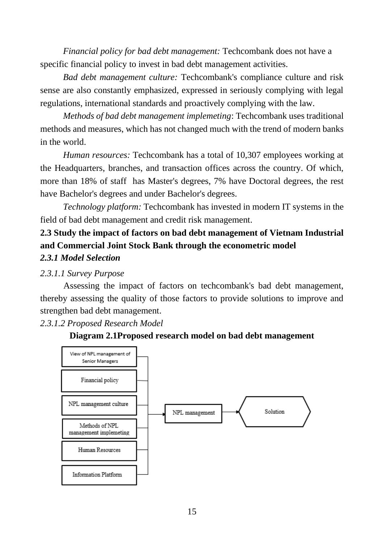*Financial policy for bad debt management:* Techcombank does not have a specific financial policy to invest in bad debt management activities.

*Bad debt management culture:* Techcombank's compliance culture and risk sense are also constantly emphasized, expressed in seriously complying with legal regulations, international standards and proactively complying with the law.

*Methods of bad debt management implemeting*: Techcombank uses traditional methods and measures, which has not changed much with the trend of modern banks in the world.

*Human resources:* Techcombank has a total of 10,307 employees working at the Headquarters, branches, and transaction offices across the country. Of which, more than 18% of staff has Master's degrees, 7% have Doctoral degrees, the rest have Bachelor's degrees and under Bachelor's degrees.

*Technology platform:* Techcombank has invested in modern IT systems in the field of bad debt management and credit risk management.

## **2.3 Study the impact of factors on bad debt management of Vietnam Industrial and Commercial Joint Stock Bank through the econometric model** *2.3.1 Model Selection*

## *2.3.1.1 Survey Purpose*

Assessing the impact of factors on techcombank's bad debt management, thereby assessing the quality of those factors to provide solutions to improve and strengthen bad debt management.

#### *2.3.1.2 Proposed Research Model*



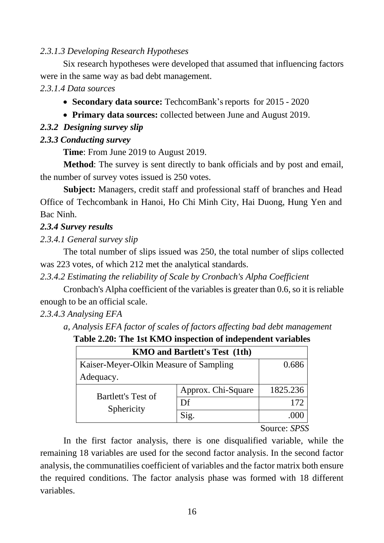#### *2.3.1.3 Developing Research Hypotheses*

Six research hypotheses were developed that assumed that influencing factors were in the same way as bad debt management.

*2.3.1.4 Data sources* 

- **Secondary data source:** TechcomBank's reports for 2015 2020
- **Primary data sources:** collected between June and August 2019.

#### *2.3.2 Designing survey slip*

#### *2.3.3 Conducting survey*

**Time**: From June 2019 to August 2019.

**Method**: The survey is sent directly to bank officials and by post and email, the number of survey votes issued is 250 votes.

**Subject:** Managers, credit staff and professional staff of branches and Head Office of Techcombank in Hanoi, Ho Chi Minh City, Hai Duong, Hung Yen and Bac Ninh.

#### *2.3.4 Survey results*

*2.3.4.1 General survey slip*

The total number of slips issued was 250, the total number of slips collected was 223 votes, of which 212 met the analytical standards.

*2.3.4.2 Estimating the reliability of Scale by Cronbach's Alpha Coefficient*

Cronbach's Alpha coefficient of the variables is greater than 0.6, so it is reliable enough to be an official scale.

*2.3.4.3 Analysing EFA*

*a, Analysis EFA factor of scales of factors affecting bad debt management*

**Table 2.20: The 1st KMO inspection of independent variables**

| <b>KMO</b> and Bartlett's Test (1th)   |                    |               |  |  |  |  |
|----------------------------------------|--------------------|---------------|--|--|--|--|
| Kaiser-Meyer-Olkin Measure of Sampling | 0.686              |               |  |  |  |  |
| Adequacy.                              |                    |               |  |  |  |  |
| <b>Bartlett's Test of</b>              | Approx. Chi-Square | 1825.236      |  |  |  |  |
| Sphericity                             | Df                 | 172           |  |  |  |  |
|                                        |                    |               |  |  |  |  |
|                                        |                    | $\sim$<br>ana |  |  |  |  |

Source: *SPSS*

In the first factor analysis, there is one disqualified variable, while the remaining 18 variables are used for the second factor analysis. In the second factor analysis, the communatilies coefficient of variables and the factor matrix both ensure the required conditions. The factor analysis phase was formed with 18 different variables.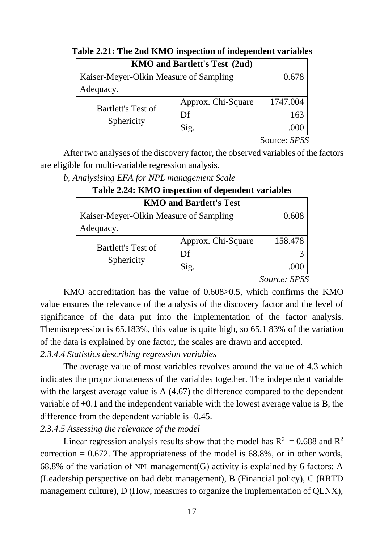| <b>KMO and Bartlett's Test (2nd)</b>   |                    |              |  |  |  |  |
|----------------------------------------|--------------------|--------------|--|--|--|--|
| Kaiser-Meyer-Olkin Measure of Sampling | 0.678              |              |  |  |  |  |
| Adequacy.                              |                    |              |  |  |  |  |
| <b>Bartlett's Test of</b>              | Approx. Chi-Square | 1747.004     |  |  |  |  |
| Sphericity                             | Df                 | 163          |  |  |  |  |
|                                        |                    |              |  |  |  |  |
|                                        |                    | Source: SPSS |  |  |  |  |

|  |  | Table 2.21: The 2nd KMO inspection of independent variables |  |
|--|--|-------------------------------------------------------------|--|
|  |  |                                                             |  |

After two analyses of the discovery factor, the observed variables of the factors are eligible for multi-variable regression analysis.

*b, Analysising EFA for NPL management Scale*

| <b>KMO and Bartlett's Test</b>         |                    |         |  |  |  |  |  |
|----------------------------------------|--------------------|---------|--|--|--|--|--|
| Kaiser-Meyer-Olkin Measure of Sampling | 0.608              |         |  |  |  |  |  |
| Adequacy.                              |                    |         |  |  |  |  |  |
| <b>Bartlett's Test of</b>              | Approx. Chi-Square | 158.478 |  |  |  |  |  |
| Sphericity                             | Df                 |         |  |  |  |  |  |
|                                        | Sig.               |         |  |  |  |  |  |

# **Table 2.24: KMO inspection of dependent variables**

*Source: SPSS*

KMO accreditation has the value of 0.608>0.5, which confirms the KMO value ensures the relevance of the analysis of the discovery factor and the level of significance of the data put into the implementation of the factor analysis. Themisrepression is 65.183%, this value is quite high, so 65.1 83% of the variation of the data is explained by one factor, the scales are drawn and accepted.

*2.3.4.4 Statistics describing regression variables*

The average value of most variables revolves around the value of 4.3 which indicates the proportionateness of the variables together. The independent variable with the largest average value is A  $(4.67)$  the difference compared to the dependent variable of +0.1 and the independent variable with the lowest average value is B, the difference from the dependent variable is -0.45.

*2.3.4.5 Assessing the relevance of the model*

Linear regression analysis results show that the model has  $R^2 = 0.688$  and  $R^2$ correction  $= 0.672$ . The appropriateness of the model is 68.8%, or in other words, 68.8% of the variation of NPL management  $(G)$  activity is explained by 6 factors: A (Leadership perspective on bad debt management), B (Financial policy), C (RRTD management culture), D (How, measures to organize the implementation of QLNX),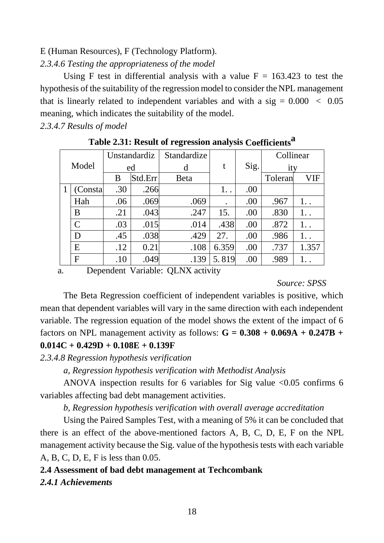#### E (Human Resources), F (Technology Platform).

## *2.3.4.6 Testing the appropriateness of the model*

Using F test in differential analysis with a value  $F = 163.423$  to test the hypothesis of the suitability of the regression model to consider the NPL management that is linearly related to independent variables and with a sig  $= 0.000 < 0.05$ meaning, which indicates the suitability of the model.

*2.3.4.7 Results of model*

|       |              |     | Unstandardiz | Standardize |       |      | Collinear |       |
|-------|--------------|-----|--------------|-------------|-------|------|-----------|-------|
| Model |              |     | ed           | d           | t     | Sig. | ity       |       |
|       |              | B   | Std.Err      | <b>Beta</b> |       |      | Toleran   | VIF   |
|       | Consta       | .30 | .266         |             | 1.    | .00  |           |       |
|       | Hah          | .06 | .069         | .069        |       | .00  | .967      | 1.    |
|       | B            | .21 | .043         | .247        | 15.   | .00  | .830      | 1. .  |
|       | $\mathsf{C}$ | .03 | .015         | .014        | .438  | .00  | .872      | 1. .  |
|       | D            | .45 | .038         | .429        | 27.   | .00  | .986      | 1. .  |
|       | E            | .12 | 0.21         | .108        | 6.359 | .00  | .737      | 1.357 |
|       | $\mathbf F$  | .10 | .049         | .139        | 5.819 | .00  | .989      |       |

**Table 2.31: Result of regression analysis Coefficients a**

a. Dependent Variable: QLNX activity

*Source: SPSS*

The Beta Regression coefficient of independent variables is positive, which mean that dependent variables will vary in the same direction with each independent variable. The regression equation of the model shows the extent of the impact of 6 factors on NPL management activity as follows: **G = 0.308 + 0.069A + 0.247B + 0.014C + 0.429D + 0.108E + 0.139F**

*2.3.4.8 Regression hypothesis verification*

*a, Regression hypothesis verification with Methodist Analysis*

ANOVA inspection results for 6 variables for Sig value <0.05 confirms 6 variables affecting bad debt management activities.

*b, Regression hypothesis verification with overall average accreditation*

Using the Paired Samples Test, with a meaning of 5% it can be concluded that there is an effect of the above-mentioned factors A, B, C, D, E, F on the NPL management activity because the Sig. value of the hypothesis tests with each variable A, B, C, D, E, F is less than 0.05.

## **2.4 Assessment of bad debt management at Techcombank**

*2.4.1 Achievements*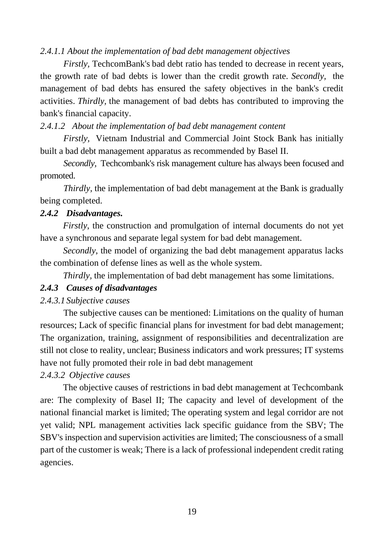#### *2.4.1.1 About the implementation of bad debt management objectives*

*Firstly*, TechcomBank's bad debt ratio has tended to decrease in recent years, the growth rate of bad debts is lower than the credit growth rate. *Secondly,* the management of bad debts has ensured the safety objectives in the bank's credit activities. *Thirdly,* the management of bad debts has contributed to improving the bank's financial capacity.

#### *2.4.1.2 About the implementation of bad debt management content*

*Firstly,* Vietnam Industrial and Commercial Joint Stock Bank has initially built a bad debt management apparatus as recommended by Basel II.

*Secondly*, Techcombank's risk management culture has always been focused and promoted.

*Thirdly,* the implementation of bad debt management at the Bank is gradually being completed.

#### *2.4.2 Disadvantages.*

*Firstly*, the construction and promulgation of internal documents do not yet have a synchronous and separate legal system for bad debt management.

*Secondly*, the model of organizing the bad debt management apparatus lacks the combination of defense lines as well as the whole system.

*Thirdly*, the implementation of bad debt management has some limitations.

#### *2.4.3 Causes of disadvantages*

#### *2.4.3.1 Subjective causes*

The subjective causes can be mentioned: Limitations on the quality of human resources; Lack of specific financial plans for investment for bad debt management; The organization, training, assignment of responsibilities and decentralization are still not close to reality, unclear; Business indicators and work pressures; IT systems have not fully promoted their role in bad debt management

#### *2.4.3.2 Objective causes*

The objective causes of restrictions in bad debt management at Techcombank are: The complexity of Basel II; The capacity and level of development of the national financial market is limited; The operating system and legal corridor are not yet valid; NPL management activities lack specific guidance from the SBV; The SBV's inspection and supervision activities are limited; The consciousness of a small part of the customer is weak; There is a lack of professional independent credit rating agencies.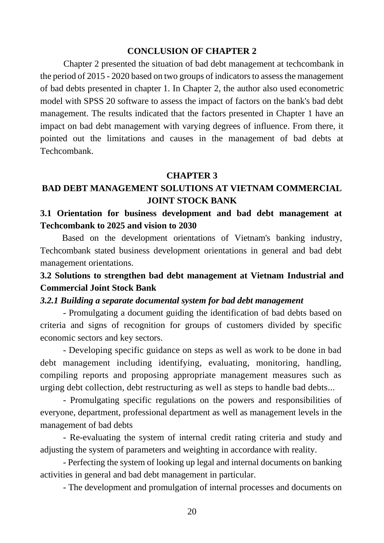#### **CONCLUSION OF CHAPTER 2**

Chapter 2 presented the situation of bad debt management at techcombank in the period of 2015 - 2020 based on two groups of indicators to assess the management of bad debts presented in chapter 1. In Chapter 2, the author also used econometric model with SPSS 20 software to assess the impact of factors on the bank's bad debt management. The results indicated that the factors presented in Chapter 1 have an impact on bad debt management with varying degrees of influence. From there, it pointed out the limitations and causes in the management of bad debts at Techcombank.

#### **CHAPTER 3**

## **BAD DEBT MANAGEMENT SOLUTIONS AT VIETNAM COMMERCIAL JOINT STOCK BANK**

## **3.1 Orientation for business development and bad debt management at Techcombank to 2025 and vision to 2030**

Based on the development orientations of Vietnam's banking industry, Techcombank stated business development orientations in general and bad debt management orientations.

## **3.2 Solutions to strengthen bad debt management at Vietnam Industrial and Commercial Joint Stock Bank**

#### *3.2.1 Building a separate documental system for bad debt management*

- Promulgating a document guiding the identification of bad debts based on criteria and signs of recognition for groups of customers divided by specific economic sectors and key sectors.

- Developing specific guidance on steps as well as work to be done in bad debt management including identifying, evaluating, monitoring, handling, compiling reports and proposing appropriate management measures such as urging debt collection, debt restructuring as well as steps to handle bad debts...

- Promulgating specific regulations on the powers and responsibilities of everyone, department, professional department as well as management levels in the management of bad debts

- Re-evaluating the system of internal credit rating criteria and study and adjusting the system of parameters and weighting in accordance with reality.

- Perfecting the system of looking up legal and internal documents on banking activities in general and bad debt management in particular.

- The development and promulgation of internal processes and documents on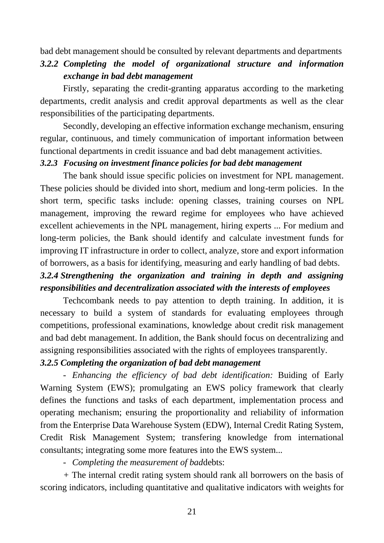bad debt management should be consulted by relevant departments and departments

*3.2.2 Completing the model of organizational structure and information exchange in bad debt management*

Firstly, separating the credit-granting apparatus according to the marketing departments, credit analysis and credit approval departments as well as the clear responsibilities of the participating departments.

Secondly, developing an effective information exchange mechanism, ensuring regular, continuous, and timely communication of important information between functional departments in credit issuance and bad debt management activities.

#### *3.2.3 Focusing on investment finance policies for bad debt management*

The bank should issue specific policies on investment for NPL management. These policies should be divided into short, medium and long-term policies. In the short term, specific tasks include: opening classes, training courses on NPL management, improving the reward regime for employees who have achieved excellent achievements in the NPL management, hiring experts ... For medium and long-term policies, the Bank should identify and calculate investment funds for improving IT infrastructure in order to collect, analyze, store and export information of borrowers, as a basis for identifying, measuring and early handling of bad debts.

## *3.2.4 Strengthening the organization and training in depth and assigning responsibilities and decentralization associated with the interests of employees*

Techcombank needs to pay attention to depth training. In addition, it is necessary to build a system of standards for evaluating employees through competitions, professional examinations, knowledge about credit risk management and bad debt management. In addition, the Bank should focus on decentralizing and assigning responsibilities associated with the rights of employees transparently.

#### *3.2.5 Completing the organization of bad debt management*

- *Enhancing the efficiency of bad debt identification:* Buiding of Early Warning System (EWS); promulgating an EWS policy framework that clearly defines the functions and tasks of each department, implementation process and operating mechanism; ensuring the proportionality and reliability of information from the Enterprise Data Warehouse System (EDW), Internal Credit Rating System, Credit Risk Management System; transfering knowledge from international consultants; integrating some more features into the EWS system...

- *Completing the measurement of bad*debts:

*+* The internal credit rating system should rank all borrowers on the basis of scoring indicators, including quantitative and qualitative indicators with weights for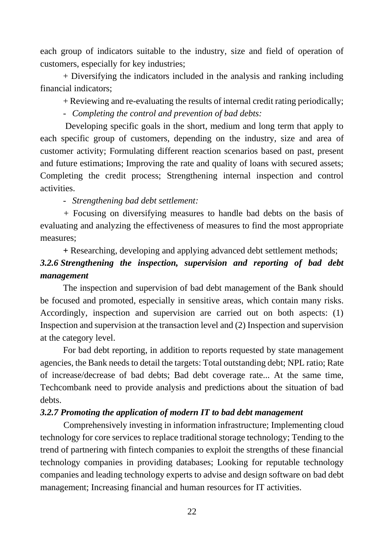each group of indicators suitable to the industry, size and field of operation of customers, especially for key industries;

+ Diversifying the indicators included in the analysis and ranking including financial indicators;

+ Reviewing and re-evaluating the results of internal credit rating periodically;

- *Completing the control and prevention of bad debts:*

Developing specific goals in the short, medium and long term that apply to each specific group of customers, depending on the industry, size and area of customer activity; Formulating different reaction scenarios based on past, present and future estimations; Improving the rate and quality of loans with secured assets; Completing the credit process; Strengthening internal inspection and control activities.

- *Strengthening bad debt settlement:*

*+* Focusing on diversifying measures to handle bad debts on the basis of evaluating and analyzing the effectiveness of measures to find the most appropriate measures;

**+** Researching, developing and applying advanced debt settlement methods;

# *3.2.6 Strengthening the inspection, supervision and reporting of bad debt management*

The inspection and supervision of bad debt management of the Bank should be focused and promoted, especially in sensitive areas, which contain many risks. Accordingly, inspection and supervision are carried out on both aspects: (1) Inspection and supervision at the transaction level and (2) Inspection and supervision at the category level.

For bad debt reporting, in addition to reports requested by state management agencies, the Bank needs to detail the targets: Total outstanding debt; NPL ratio; Rate of increase/decrease of bad debts; Bad debt coverage rate... At the same time, Techcombank need to provide analysis and predictions about the situation of bad debts.

## *3.2.7 Promoting the application of modern IT to bad debt management*

Comprehensively investing in information infrastructure; Implementing cloud technology for core services to replace traditional storage technology; Tending to the trend of partnering with fintech companies to exploit the strengths of these financial technology companies in providing databases; Looking for reputable technology companies and leading technology experts to advise and design software on bad debt management; Increasing financial and human resources for IT activities.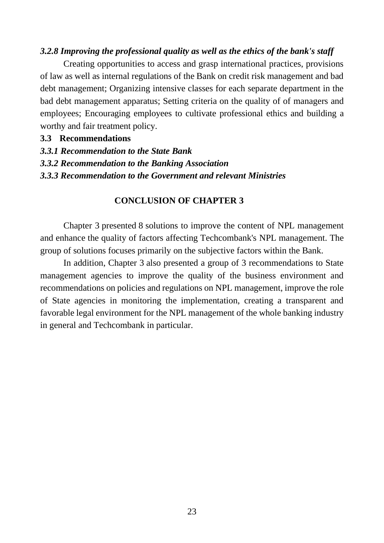#### *3.2.8 Improving the professional quality as well as the ethics of the bank's staff*

Creating opportunities to access and grasp international practices, provisions of law as well as internal regulations of the Bank on credit risk management and bad debt management; Organizing intensive classes for each separate department in the bad debt management apparatus; Setting criteria on the quality of of managers and employees; Encouraging employees to cultivate professional ethics and building a worthy and fair treatment policy.

#### **3.3 Recommendations**

- *3.3.1 Recommendation to the State Bank*
- *3.3.2 Recommendation to the Banking Association*
- *3.3.3 Recommendation to the Government and relevant Ministries*

#### **CONCLUSION OF CHAPTER 3**

Chapter 3 presented 8 solutions to improve the content of NPL management and enhance the quality of factors affecting Techcombank's NPL management. The group of solutions focuses primarily on the subjective factors within the Bank.

In addition, Chapter 3 also presented a group of 3 recommendations to State management agencies to improve the quality of the business environment and recommendations on policies and regulations on NPL management, improve the role of State agencies in monitoring the implementation, creating a transparent and favorable legal environment for the NPL management of the whole banking industry in general and Techcombank in particular.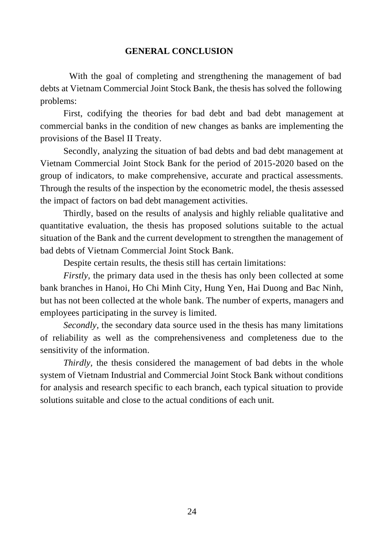#### **GENERAL CONCLUSION**

With the goal of completing and strengthening the management of bad debts at Vietnam Commercial Joint Stock Bank, the thesis has solved the following problems:

First, codifying the theories for bad debt and bad debt management at commercial banks in the condition of new changes as banks are implementing the provisions of the Basel II Treaty.

Secondly, analyzing the situation of bad debts and bad debt management at Vietnam Commercial Joint Stock Bank for the period of 2015-2020 based on the group of indicators, to make comprehensive, accurate and practical assessments. Through the results of the inspection by the econometric model, the thesis assessed the impact of factors on bad debt management activities.

Thirdly, based on the results of analysis and highly reliable qualitative and quantitative evaluation, the thesis has proposed solutions suitable to the actual situation of the Bank and the current development to strengthen the management of bad debts of Vietnam Commercial Joint Stock Bank.

Despite certain results, the thesis still has certain limitations:

*Firstly*, the primary data used in the thesis has only been collected at some bank branches in Hanoi, Ho Chi Minh City, Hung Yen, Hai Duong and Bac Ninh, but has not been collected at the whole bank. The number of experts, managers and employees participating in the survey is limited.

*Secondly,* the secondary data source used in the thesis has many limitations of reliability as well as the comprehensiveness and completeness due to the sensitivity of the information.

*Thirdly*, the thesis considered the management of bad debts in the whole system of Vietnam Industrial and Commercial Joint Stock Bank without conditions for analysis and research specific to each branch, each typical situation to provide solutions suitable and close to the actual conditions of each unit.